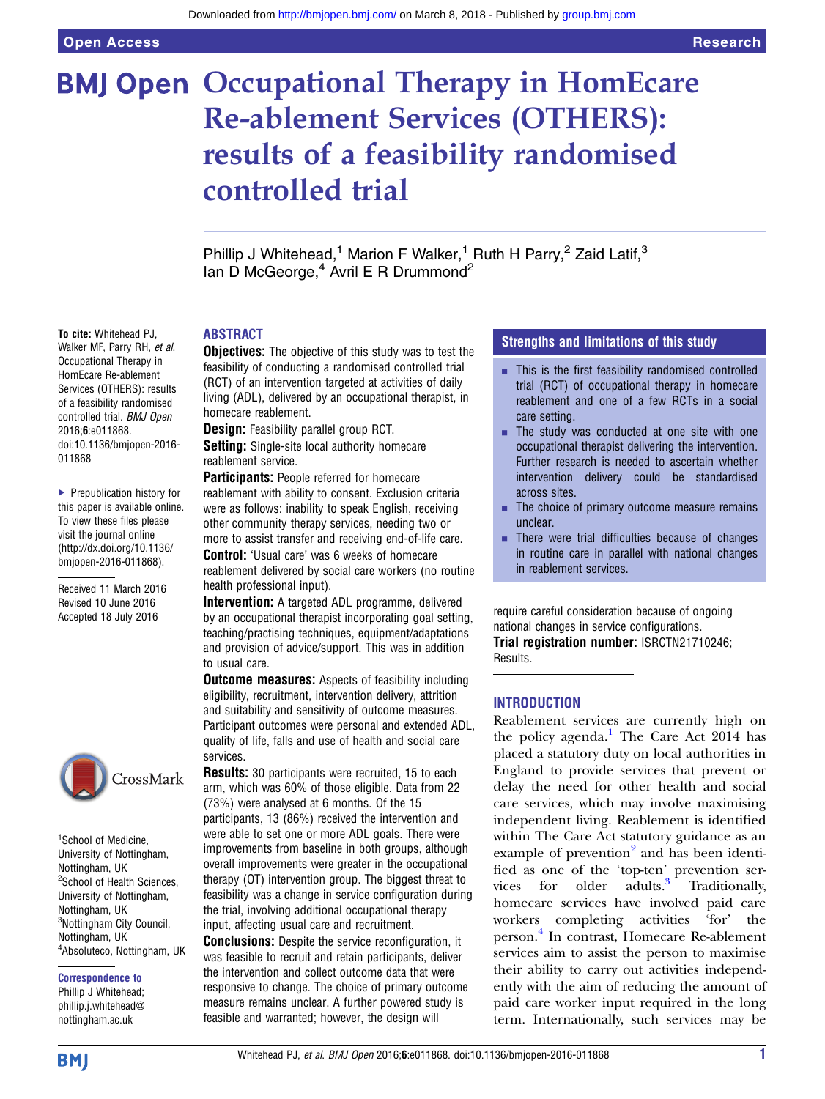# **BMJ Open Occupational Therapy in HomEcare** Re-ablement Services (OTHERS): results of a feasibility randomised controlled trial

Phillip J Whitehead,<sup>1</sup> Marion F Walker,<sup>1</sup> Ruth H Parry,<sup>2</sup> Zaid Latif,<sup>3</sup> Ian D McGeorge,<sup>4</sup> Avril E R Drummond<sup>2</sup>

## **ABSTRACT**

**Objectives:** The objective of this study was to test the feasibility of conducting a randomised controlled trial (RCT) of an intervention targeted at activities of daily living (ADL), delivered by an occupational therapist, in homecare reablement.

Design: Feasibility parallel group RCT.

Setting: Single-site local authority homecare reablement service.

Participants: People referred for homecare reablement with ability to consent. Exclusion criteria were as follows: inability to speak English, receiving other community therapy services, needing two or more to assist transfer and receiving end-of-life care. Control: 'Usual care' was 6 weeks of homecare reablement delivered by social care workers (no routine health professional input).

Intervention: A targeted ADL programme, delivered by an occupational therapist incorporating goal setting, teaching/practising techniques, equipment/adaptations and provision of advice/support. This was in addition to usual care.

**Outcome measures:** Aspects of feasibility including eligibility, recruitment, intervention delivery, attrition and suitability and sensitivity of outcome measures. Participant outcomes were personal and extended ADL, quality of life, falls and use of health and social care services.

**Results:** 30 participants were recruited, 15 to each arm, which was 60% of those eligible. Data from 22 (73%) were analysed at 6 months. Of the 15 participants, 13 (86%) received the intervention and were able to set one or more ADL goals. There were improvements from baseline in both groups, although overall improvements were greater in the occupational therapy (OT) intervention group. The biggest threat to feasibility was a change in service configuration during the trial, involving additional occupational therapy input, affecting usual care and recruitment.

**Conclusions:** Despite the service reconfiguration, it was feasible to recruit and retain participants, deliver the intervention and collect outcome data that were responsive to change. The choice of primary outcome measure remains unclear. A further powered study is feasible and warranted; however, the design will

## **Strengths and limitations of this study**

- **EXECUTE:** This is the first feasibility randomised controlled trial (RCT) of occupational therapy in homecare reablement and one of a few RCTs in a social care setting.
- $\blacksquare$  The study was conducted at one site with one occupational therapist delivering the intervention. Further research is needed to ascertain whether intervention delivery could be standardised across sites.
- $\blacksquare$  The choice of primary outcome measure remains unclear.
- $\blacksquare$  There were trial difficulties because of changes in routine care in parallel with national changes in reablement services.

require careful consideration because of ongoing national changes in service configurations. Trial registration number: ISRCTN21710246; Results.

#### INTRODUCTION

Reablement services are currently high on the policy agenda.<sup>[1](#page-7-0)</sup> The Care Act 2014 has placed a statutory duty on local authorities in England to provide services that prevent or delay the need for other health and social care services, which may involve maximising independent living. Reablement is identified within The Care Act statutory guidance as an example of prevention<sup>[2](#page-7-0)</sup> and has been identified as one of the 'top-ten' prevention ser-<br>vices for older adults.<sup>3</sup> Traditionally, vices for older adults. $\frac{3}{7}$  Traditionally, homecare services have involved paid care workers completing activities 'for' the person.[4](#page-7-0) In contrast, Homecare Re-ablement services aim to assist the person to maximise their ability to carry out activities independently with the aim of reducing the amount of paid care worker input required in the long term. Internationally, such services may be

2016;6:e011868. doi:10.1136/bmjopen-2016- 011868 ▶ Prepublication history for this paper is available online.

To cite: Whitehead PJ, Walker MF, Parry RH, et al. Occupational Therapy in HomEcare Re-ablement Services (OTHERS): results of a feasibility randomised controlled trial. BMJ Open

To view these files please visit the journal online [\(http://dx.doi.org/10.1136/](http://dx.doi.org/10.1136/bmjopen-2016-011868) [bmjopen-2016-011868](http://dx.doi.org/10.1136/bmjopen-2016-011868)).

Received 11 March 2016 Revised 10 June 2016 Accepted 18 July 2016



<sup>1</sup>School of Medicine, University of Nottingham, Nottingham, UK <sup>2</sup>School of Health Sciences, University of Nottingham, Nottingham, UK <sup>3</sup>Nottingham City Council, Nottingham, UK 4 Absoluteco, Nottingham, UK

Correspondence to

Phillip J Whitehead; phillip.j.whitehead@ nottingham.ac.uk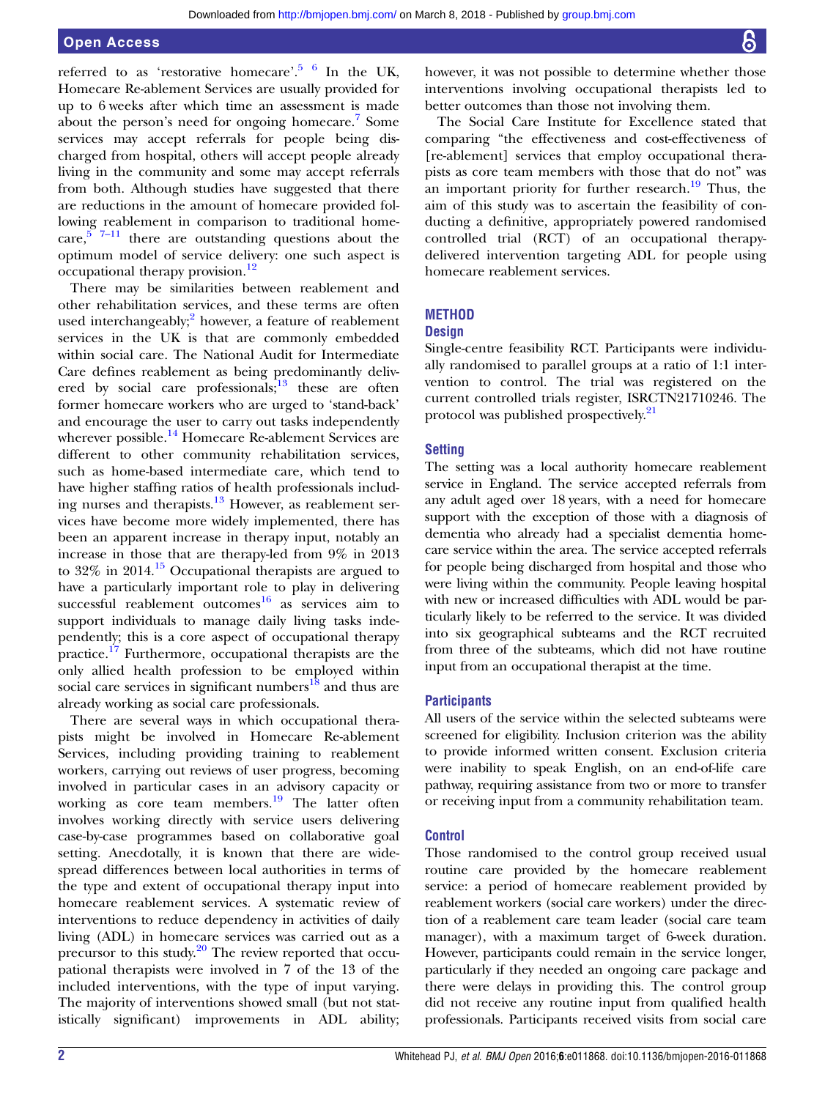referred to as 'restorative homecare'. [5 6](#page-8-0) In the UK, Homecare Re-ablement Services are usually provided for up to 6 weeks after which time an assessment is made about the person's need for ongoing homecare.<sup>[7](#page-8-0)</sup> Some services may accept referrals for people being discharged from hospital, others will accept people already living in the community and some may accept referrals from both. Although studies have suggested that there are reductions in the amount of homecare provided following reablement in comparison to traditional homecare,  $5^{5}$  $5^{5}$  7–[11](#page-8-0) there are outstanding questions about the optimum model of service delivery: one such aspect is occupational therapy provision.<sup>[12](#page-8-0)</sup>

There may be similarities between reablement and other rehabilitation services, and these terms are often used interchangeably; $^2$  $^2$  however, a feature of reablement services in the UK is that are commonly embedded within social care. The National Audit for Intermediate Care defines reablement as being predominantly delivered by social care professionals; $^{13}$  $^{13}$  $^{13}$  these are often former homecare workers who are urged to 'stand-back' and encourage the user to carry out tasks independently wherever possible.<sup>[14](#page-8-0)</sup> Homecare Re-ablement Services are different to other community rehabilitation services, such as home-based intermediate care, which tend to have higher staffing ratios of health professionals including nurses and therapists. $13$  However, as reablement services have become more widely implemented, there has been an apparent increase in therapy input, notably an increase in those that are therapy-led from 9% in 2013 to  $32\%$  in 2014.<sup>[15](#page-8-0)</sup> Occupational therapists are argued to have a particularly important role to play in delivering successful reablement outcomes $^{16}$  as services aim to support individuals to manage daily living tasks independently; this is a core aspect of occupational therapy practice.[17](#page-8-0) Furthermore, occupational therapists are the only allied health profession to be employed within social care services in significant numbers $^{18}$  and thus are already working as social care professionals.

There are several ways in which occupational therapists might be involved in Homecare Re-ablement Services, including providing training to reablement workers, carrying out reviews of user progress, becoming involved in particular cases in an advisory capacity or working as core team members.<sup>[19](#page-8-0)</sup> The latter often involves working directly with service users delivering case-by-case programmes based on collaborative goal setting. Anecdotally, it is known that there are widespread differences between local authorities in terms of the type and extent of occupational therapy input into homecare reablement services. A systematic review of interventions to reduce dependency in activities of daily living (ADL) in homecare services was carried out as a precursor to this study. $20$  The review reported that occupational therapists were involved in 7 of the 13 of the included interventions, with the type of input varying. The majority of interventions showed small (but not statistically significant) improvements in ADL ability;

however, it was not possible to determine whether those interventions involving occupational therapists led to better outcomes than those not involving them.

The Social Care Institute for Excellence stated that comparing "the effectiveness and cost-effectiveness of [re-ablement] services that employ occupational therapists as core team members with those that do not" was an important priority for further research. $19$  Thus, the aim of this study was to ascertain the feasibility of conducting a definitive, appropriately powered randomised controlled trial (RCT) of an occupational therapydelivered intervention targeting ADL for people using homecare reablement services.

#### **METHOD**

#### **Design**

Single-centre feasibility RCT. Participants were individually randomised to parallel groups at a ratio of 1:1 intervention to control. The trial was registered on the current controlled trials register, ISRCTN21710246. The protocol was published prospectively.<sup>[21](#page-8-0)</sup>

#### **Setting**

The setting was a local authority homecare reablement service in England. The service accepted referrals from any adult aged over 18 years, with a need for homecare support with the exception of those with a diagnosis of dementia who already had a specialist dementia homecare service within the area. The service accepted referrals for people being discharged from hospital and those who were living within the community. People leaving hospital with new or increased difficulties with ADL would be particularly likely to be referred to the service. It was divided into six geographical subteams and the RCT recruited from three of the subteams, which did not have routine input from an occupational therapist at the time.

#### **Participants**

All users of the service within the selected subteams were screened for eligibility. Inclusion criterion was the ability to provide informed written consent. Exclusion criteria were inability to speak English, on an end-of-life care pathway, requiring assistance from two or more to transfer or receiving input from a community rehabilitation team.

#### **Control**

Those randomised to the control group received usual routine care provided by the homecare reablement service: a period of homecare reablement provided by reablement workers (social care workers) under the direction of a reablement care team leader (social care team manager), with a maximum target of 6-week duration. However, participants could remain in the service longer, particularly if they needed an ongoing care package and there were delays in providing this. The control group did not receive any routine input from qualified health professionals. Participants received visits from social care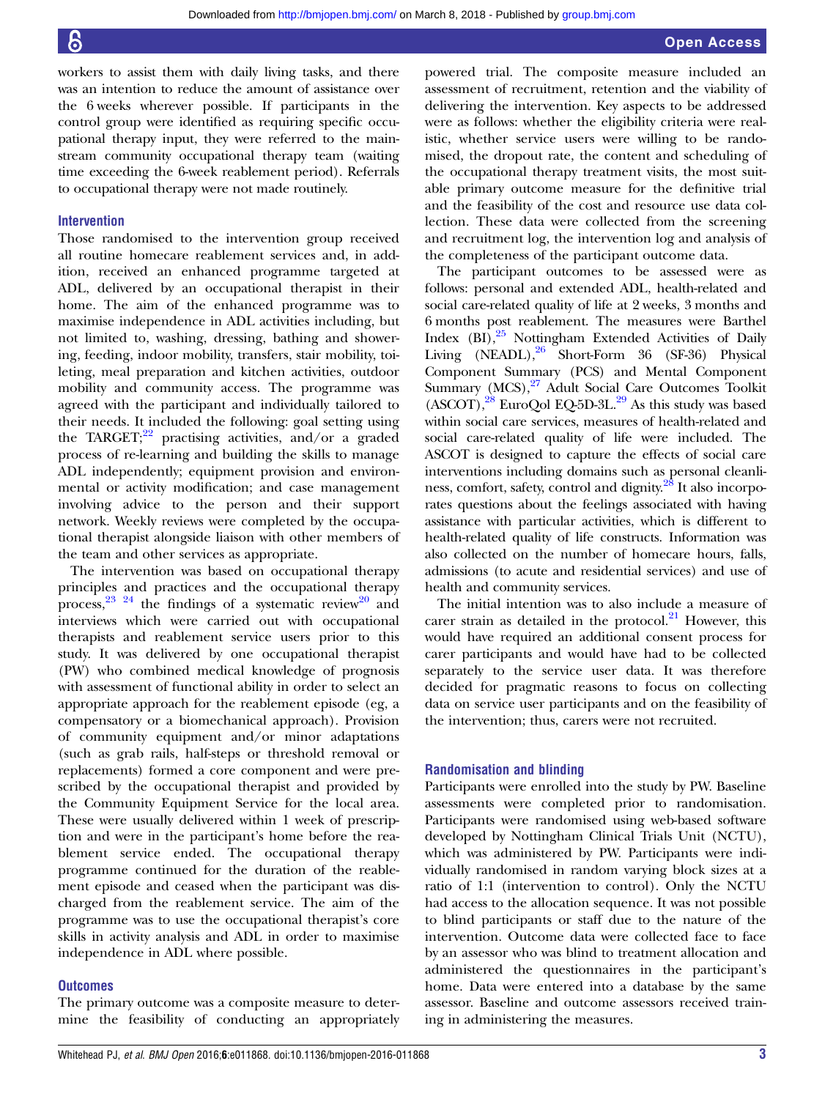workers to assist them with daily living tasks, and there was an intention to reduce the amount of assistance over the 6 weeks wherever possible. If participants in the control group were identified as requiring specific occupational therapy input, they were referred to the mainstream community occupational therapy team (waiting time exceeding the 6-week reablement period). Referrals to occupational therapy were not made routinely.

## Intervention

Those randomised to the intervention group received all routine homecare reablement services and, in addition, received an enhanced programme targeted at ADL, delivered by an occupational therapist in their home. The aim of the enhanced programme was to maximise independence in ADL activities including, but not limited to, washing, dressing, bathing and showering, feeding, indoor mobility, transfers, stair mobility, toileting, meal preparation and kitchen activities, outdoor mobility and community access. The programme was agreed with the participant and individually tailored to their needs. It included the following: goal setting using the TARGET; $^{22}$  practising activities, and/or a graded process of re-learning and building the skills to manage ADL independently; equipment provision and environmental or activity modification; and case management involving advice to the person and their support network. Weekly reviews were completed by the occupational therapist alongside liaison with other members of the team and other services as appropriate.

The intervention was based on occupational therapy principles and practices and the occupational therapy process,  $23 \frac{23}{4}$  the findings of a systematic review<sup>20</sup> and interviews which were carried out with occupational therapists and reablement service users prior to this study. It was delivered by one occupational therapist (PW) who combined medical knowledge of prognosis with assessment of functional ability in order to select an appropriate approach for the reablement episode (eg, a compensatory or a biomechanical approach). Provision of community equipment and/or minor adaptations (such as grab rails, half-steps or threshold removal or replacements) formed a core component and were prescribed by the occupational therapist and provided by the Community Equipment Service for the local area. These were usually delivered within 1 week of prescription and were in the participant's home before the reablement service ended. The occupational therapy programme continued for the duration of the reablement episode and ceased when the participant was discharged from the reablement service. The aim of the programme was to use the occupational therapist's core skills in activity analysis and ADL in order to maximise independence in ADL where possible.

#### **Outcomes**

The primary outcome was a composite measure to determine the feasibility of conducting an appropriately

powered trial. The composite measure included an assessment of recruitment, retention and the viability of delivering the intervention. Key aspects to be addressed were as follows: whether the eligibility criteria were realistic, whether service users were willing to be randomised, the dropout rate, the content and scheduling of the occupational therapy treatment visits, the most suitable primary outcome measure for the definitive trial and the feasibility of the cost and resource use data collection. These data were collected from the screening and recruitment log, the intervention log and analysis of the completeness of the participant outcome data.

The participant outcomes to be assessed were as follows: personal and extended ADL, health-related and social care-related quality of life at 2 weeks, 3 months and 6 months post reablement. The measures were Barthel Index  $(BI)$ ,<sup>[25](#page-8-0)</sup> Nottingham Extended Activities of Daily Living  $(NEADL)$ ,  $^{26}$  $^{26}$  $^{26}$  Short-Form 36 (SF-36) Physical Component Summary (PCS) and Mental Component Summary (MCS),<sup>[27](#page-8-0)</sup> Adult Social Care Outcomes Toolkit  $(ASCOT),<sup>28</sup> EuroQol EQ-5D-3L.<sup>29</sup> As this study was based$ within social care services, measures of health-related and social care-related quality of life were included. The ASCOT is designed to capture the effects of social care interventions including domains such as personal cleanliness, comfort, safety, control and dignity.<sup>28</sup> It also incorporates questions about the feelings associated with having assistance with particular activities, which is different to health-related quality of life constructs. Information was also collected on the number of homecare hours, falls, admissions (to acute and residential services) and use of health and community services.

The initial intention was to also include a measure of carer strain as detailed in the protocol. $21$  However, this would have required an additional consent process for carer participants and would have had to be collected separately to the service user data. It was therefore decided for pragmatic reasons to focus on collecting data on service user participants and on the feasibility of the intervention; thus, carers were not recruited.

#### Randomisation and blinding

Participants were enrolled into the study by PW. Baseline assessments were completed prior to randomisation. Participants were randomised using web-based software developed by Nottingham Clinical Trials Unit (NCTU), which was administered by PW. Participants were individually randomised in random varying block sizes at a ratio of 1:1 (intervention to control). Only the NCTU had access to the allocation sequence. It was not possible to blind participants or staff due to the nature of the intervention. Outcome data were collected face to face by an assessor who was blind to treatment allocation and administered the questionnaires in the participant's home. Data were entered into a database by the same assessor. Baseline and outcome assessors received training in administering the measures.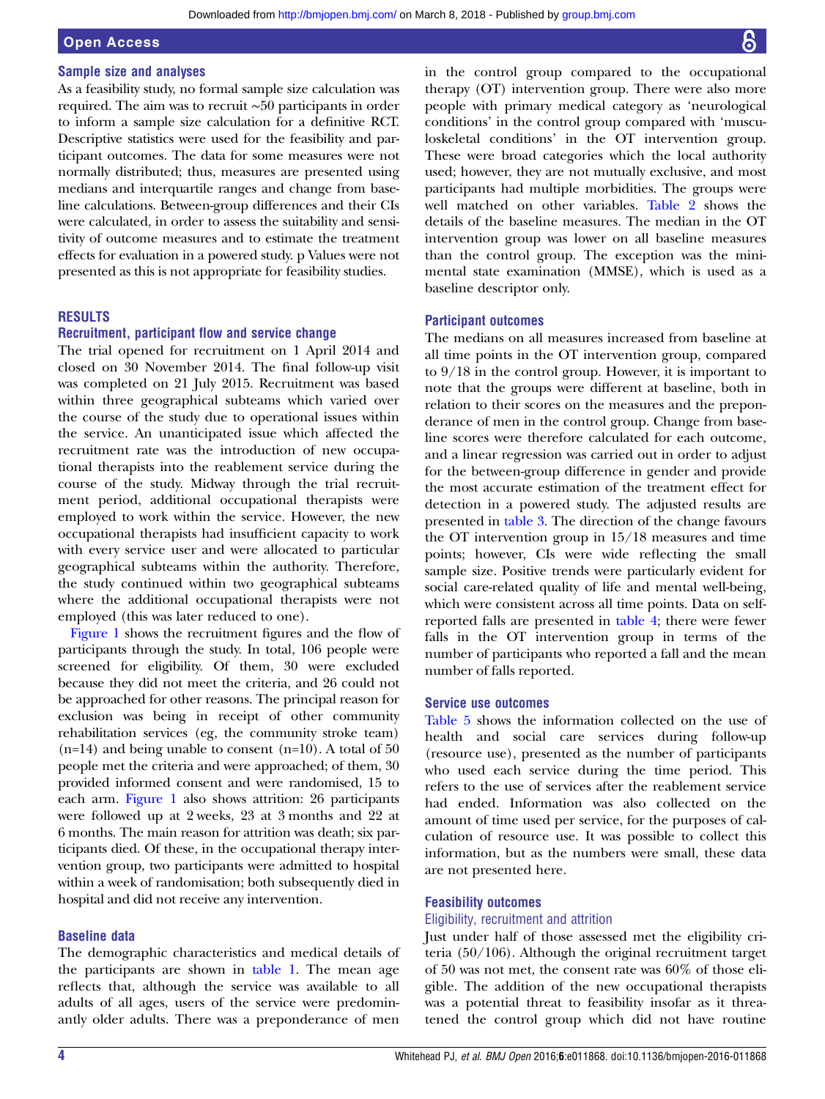#### Sample size and analyses

As a feasibility study, no formal sample size calculation was required. The aim was to recruit ∼50 participants in order to inform a sample size calculation for a definitive RCT. Descriptive statistics were used for the feasibility and participant outcomes. The data for some measures were not normally distributed; thus, measures are presented using medians and interquartile ranges and change from baseline calculations. Between-group differences and their CIs were calculated, in order to assess the suitability and sensitivity of outcome measures and to estimate the treatment effects for evaluation in a powered study. p Values were not presented as this is not appropriate for feasibility studies.

#### RESULTS

#### Recruitment, participant flow and service change

The trial opened for recruitment on 1 April 2014 and closed on 30 November 2014. The final follow-up visit was completed on 21 July 2015. Recruitment was based within three geographical subteams which varied over the course of the study due to operational issues within the service. An unanticipated issue which affected the recruitment rate was the introduction of new occupational therapists into the reablement service during the course of the study. Midway through the trial recruitment period, additional occupational therapists were employed to work within the service. However, the new occupational therapists had insufficient capacity to work with every service user and were allocated to particular geographical subteams within the authority. Therefore, the study continued within two geographical subteams where the additional occupational therapists were not employed (this was later reduced to one).

[Figure 1](#page-4-0) shows the recruitment figures and the flow of participants through the study. In total, 106 people were screened for eligibility. Of them, 30 were excluded because they did not meet the criteria, and 26 could not be approached for other reasons. The principal reason for exclusion was being in receipt of other community rehabilitation services (eg, the community stroke team)  $(n=14)$  and being unable to consent  $(n=10)$ . A total of 50 people met the criteria and were approached; of them, 30 provided informed consent and were randomised, 15 to each arm. [Figure 1](#page-4-0) also shows attrition: 26 participants were followed up at 2 weeks, 23 at 3 months and 22 at 6 months. The main reason for attrition was death; six participants died. Of these, in the occupational therapy intervention group, two participants were admitted to hospital within a week of randomisation; both subsequently died in hospital and did not receive any intervention.

#### Baseline data

The demographic characteristics and medical details of the participants are shown in [table 1.](#page-5-0) The mean age reflects that, although the service was available to all adults of all ages, users of the service were predominantly older adults. There was a preponderance of men

in the control group compared to the occupational therapy (OT) intervention group. There were also more people with primary medical category as 'neurological conditions' in the control group compared with 'musculoskeletal conditions' in the OT intervention group. These were broad categories which the local authority used; however, they are not mutually exclusive, and most participants had multiple morbidities. The groups were well matched on other variables. [Table 2](#page-5-0) shows the details of the baseline measures. The median in the OT intervention group was lower on all baseline measures than the control group. The exception was the minimental state examination (MMSE), which is used as a baseline descriptor only.

#### Participant outcomes

The medians on all measures increased from baseline at all time points in the OT intervention group, compared to 9/18 in the control group. However, it is important to note that the groups were different at baseline, both in relation to their scores on the measures and the preponderance of men in the control group. Change from baseline scores were therefore calculated for each outcome, and a linear regression was carried out in order to adjust for the between-group difference in gender and provide the most accurate estimation of the treatment effect for detection in a powered study. The adjusted results are presented in [table 3.](#page-6-0) The direction of the change favours the OT intervention group in 15/18 measures and time points; however, CIs were wide reflecting the small sample size. Positive trends were particularly evident for social care-related quality of life and mental well-being, which were consistent across all time points. Data on selfreported falls are presented in [table 4;](#page-6-0) there were fewer falls in the OT intervention group in terms of the number of participants who reported a fall and the mean number of falls reported.

#### Service use outcomes

[Table 5](#page-7-0) shows the information collected on the use of health and social care services during follow-up (resource use), presented as the number of participants who used each service during the time period. This refers to the use of services after the reablement service had ended. Information was also collected on the amount of time used per service, for the purposes of calculation of resource use. It was possible to collect this information, but as the numbers were small, these data are not presented here.

#### Feasibility outcomes

#### Eligibility, recruitment and attrition

Just under half of those assessed met the eligibility criteria (50/106). Although the original recruitment target of 50 was not met, the consent rate was 60% of those eligible. The addition of the new occupational therapists was a potential threat to feasibility insofar as it threatened the control group which did not have routine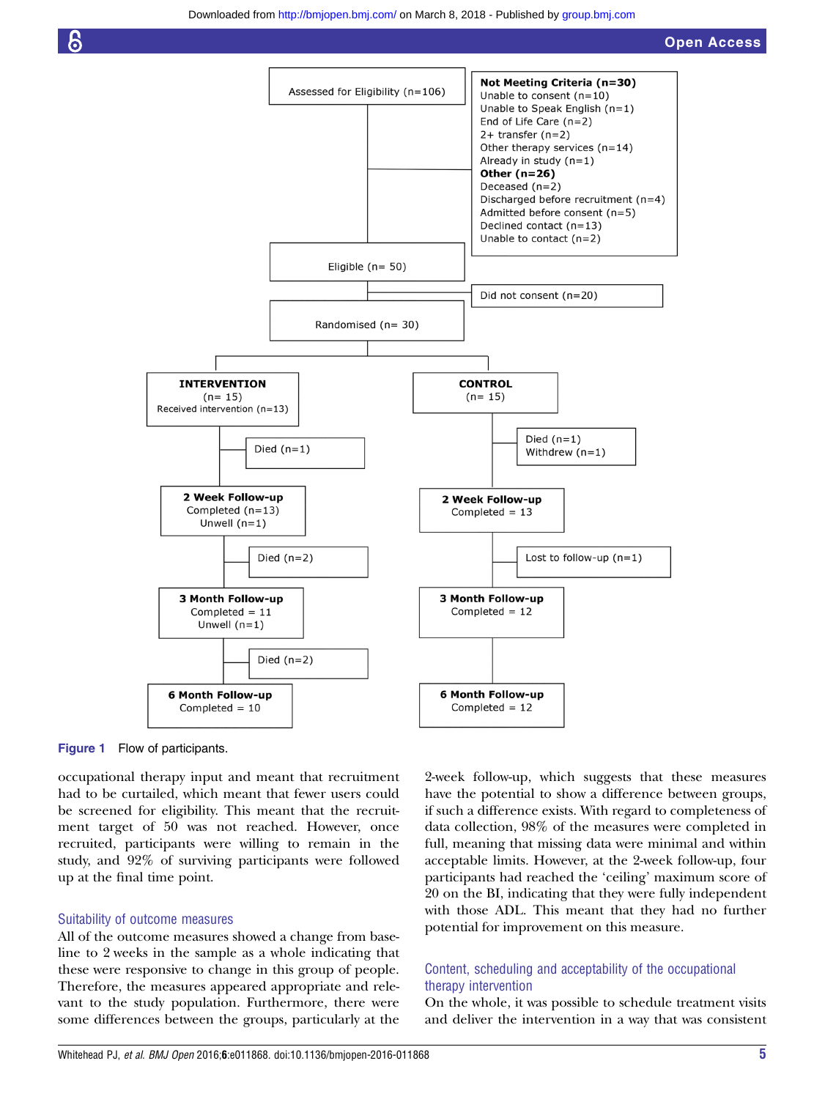<span id="page-4-0"></span>







occupational therapy input and meant that recruitment had to be curtailed, which meant that fewer users could be screened for eligibility. This meant that the recruitment target of 50 was not reached. However, once recruited, participants were willing to remain in the study, and 92% of surviving participants were followed up at the final time point.

#### Suitability of outcome measures

All of the outcome measures showed a change from baseline to 2 weeks in the sample as a whole indicating that these were responsive to change in this group of people. Therefore, the measures appeared appropriate and relevant to the study population. Furthermore, there were some differences between the groups, particularly at the

2-week follow-up, which suggests that these measures have the potential to show a difference between groups, if such a difference exists. With regard to completeness of data collection, 98% of the measures were completed in full, meaning that missing data were minimal and within acceptable limits. However, at the 2-week follow-up, four participants had reached the 'ceiling' maximum score of 20 on the BI, indicating that they were fully independent with those ADL. This meant that they had no further potential for improvement on this measure.

## Content, scheduling and acceptability of the occupational therapy intervention

On the whole, it was possible to schedule treatment visits and deliver the intervention in a way that was consistent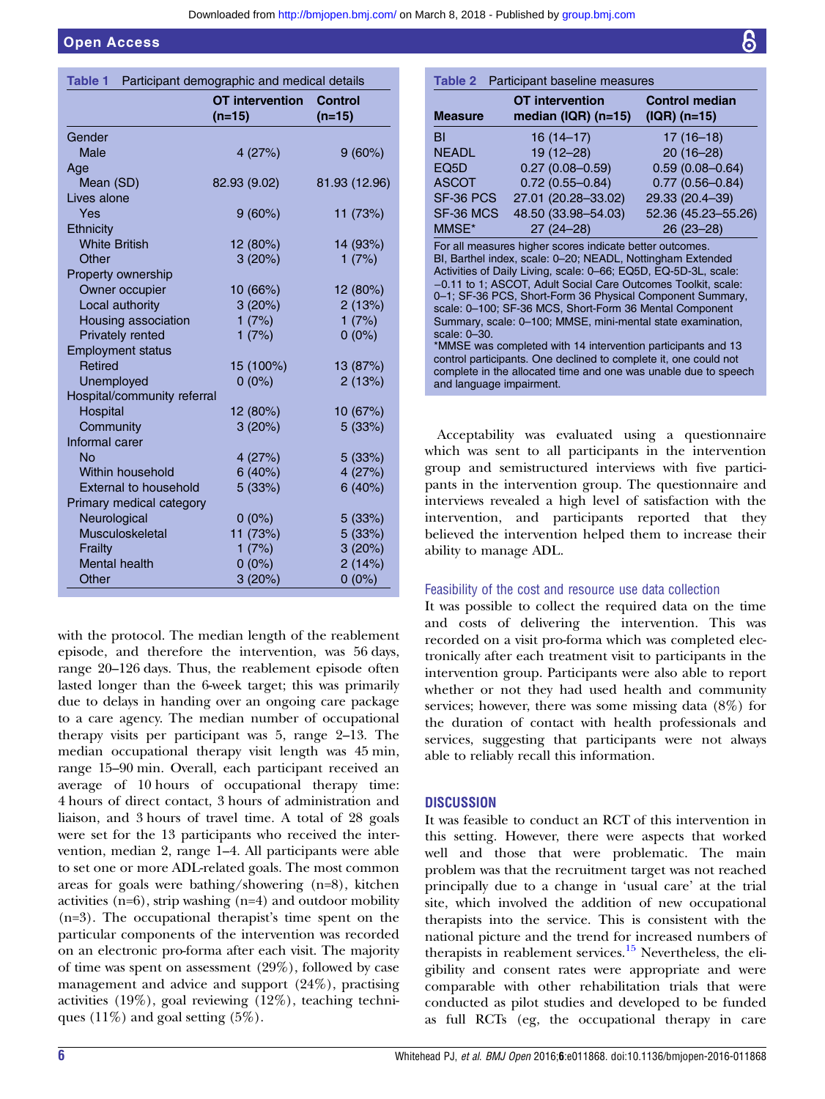<span id="page-5-0"></span>

| Participant demographic and medical details<br>Table 1 |                             |                     |
|--------------------------------------------------------|-----------------------------|---------------------|
|                                                        | OT intervention<br>$(n=15)$ | Control<br>$(n=15)$ |
| Gender                                                 |                             |                     |
| Male                                                   | 4(27%)                      | 9(60%)              |
| Age                                                    |                             |                     |
| Mean (SD)                                              | 82.93 (9.02)                | 81.93 (12.96)       |
| Lives alone                                            |                             |                     |
| Yes                                                    | 9(60%)                      | 11 (73%)            |
| Ethnicity                                              |                             |                     |
| <b>White British</b>                                   | 12 (80%)                    | 14 (93%)            |
| Other                                                  | 3(20%)                      | 1(7%)               |
| Property ownership                                     |                             |                     |
| Owner occupier                                         | 10 (66%)                    | 12(80%)             |
| Local authority                                        | 3(20%)                      | 2(13%)              |
| Housing association                                    | 1(7%)                       | 1(7%)               |
| Privately rented                                       | 1(7%)                       | $0(0\%)$            |
| <b>Employment status</b>                               |                             |                     |
| <b>Retired</b>                                         | 15 (100%)                   | 13 (87%)            |
| Unemployed                                             | $0(0\%)$                    | 2(13%)              |
| Hospital/community referral                            |                             |                     |
| Hospital                                               | 12 (80%)                    | 10 (67%)            |
| Community                                              | 3(20%)                      | 5 (33%)             |
| Informal carer                                         |                             |                     |
| No                                                     | 4 (27%)                     | 5(33%)              |
| <b>Within household</b>                                | 6(40%)                      | 4 (27%)             |
| <b>External to household</b>                           | 5(33%)                      | 6(40%)              |
| Primary medical category                               |                             |                     |
| Neurological                                           | $0(0\%)$                    | 5(33%)              |
| Musculoskeletal                                        | 11 (73%)                    | 5(33%)              |
| <b>Frailty</b>                                         | 1(7%)                       | 3(20%)              |
| <b>Mental health</b>                                   | $0(0\%)$                    | 2(14%)              |
| Other                                                  | 3(20%)                      | $0(0\%)$            |

with the protocol. The median length of the reablement episode, and therefore the intervention, was 56 days, range 20–126 days. Thus, the reablement episode often lasted longer than the 6-week target; this was primarily due to delays in handing over an ongoing care package to a care agency. The median number of occupational therapy visits per participant was 5, range 2–13. The median occupational therapy visit length was 45 min, range 15–90 min. Overall, each participant received an average of 10 hours of occupational therapy time: 4 hours of direct contact, 3 hours of administration and liaison, and 3 hours of travel time. A total of 28 goals were set for the 13 participants who received the intervention, median 2, range 1–4. All participants were able to set one or more ADL-related goals. The most common areas for goals were bathing/showering (n=8), kitchen activities (n=6), strip washing (n=4) and outdoor mobility (n=3). The occupational therapist's time spent on the particular components of the intervention was recorded on an electronic pro-forma after each visit. The majority of time was spent on assessment (29%), followed by case management and advice and support (24%), practising activities (19%), goal reviewing (12%), teaching techniques  $(11\%)$  and goal setting  $(5\%)$ .

| Participant baseline measures<br>Table 2                                                                                                                                                                                                                                                                                                                                                                                                                                                                                                                                                                                                                                                             |                                                                                                                                      |                                                                                                                                    |
|------------------------------------------------------------------------------------------------------------------------------------------------------------------------------------------------------------------------------------------------------------------------------------------------------------------------------------------------------------------------------------------------------------------------------------------------------------------------------------------------------------------------------------------------------------------------------------------------------------------------------------------------------------------------------------------------------|--------------------------------------------------------------------------------------------------------------------------------------|------------------------------------------------------------------------------------------------------------------------------------|
| <b>Measure</b>                                                                                                                                                                                                                                                                                                                                                                                                                                                                                                                                                                                                                                                                                       | OT intervention<br>median (IQR) (n=15)                                                                                               | <b>Control median</b><br>$( IQR) (n=15)$                                                                                           |
| BI<br><b>NFADL</b><br>EQ5D<br><b>ASCOT</b><br>SF-36 PCS<br>SF-36 MCS<br>MMSE*                                                                                                                                                                                                                                                                                                                                                                                                                                                                                                                                                                                                                        | $16(14-17)$<br>19 (12-28)<br>$0.27(0.08 - 0.59)$<br>$0.72(0.55 - 0.84)$<br>27.01 (20.28-33.02)<br>48.50 (33.98-54.03)<br>$27(24-28)$ | $17(16-18)$<br>20 (16-28)<br>$0.59(0.08 - 0.64)$<br>$0.77(0.56 - 0.84)$<br>29.33 (20.4-39)<br>52.36 (45.23-55.26)<br>$26(23 - 28)$ |
| For all measures higher scores indicate better outcomes.<br>BI, Barthel index, scale: 0-20; NEADL, Nottingham Extended<br>Activities of Daily Living, scale: 0-66; EQ5D, EQ-5D-3L, scale:<br>-0.11 to 1; ASCOT, Adult Social Care Outcomes Toolkit, scale:<br>0-1; SF-36 PCS, Short-Form 36 Physical Component Summary,<br>scale: 0-100; SF-36 MCS, Short-Form 36 Mental Component<br>Summary, scale: 0-100; MMSE, mini-mental state examination,<br>scale: 0-30.<br>*MMSE was completed with 14 intervention participants and 13<br>control participants. One declined to complete it, one could not<br>complete in the allocated time and one was unable due to speech<br>and language impairment. |                                                                                                                                      |                                                                                                                                    |

Acceptability was evaluated using a questionnaire which was sent to all participants in the intervention group and semistructured interviews with five participants in the intervention group. The questionnaire and interviews revealed a high level of satisfaction with the intervention, and participants reported that they believed the intervention helped them to increase their ability to manage ADL.

#### Feasibility of the cost and resource use data collection

It was possible to collect the required data on the time and costs of delivering the intervention. This was recorded on a visit pro-forma which was completed electronically after each treatment visit to participants in the intervention group. Participants were also able to report whether or not they had used health and community services; however, there was some missing data (8%) for the duration of contact with health professionals and services, suggesting that participants were not always able to reliably recall this information.

#### **DISCUSSION**

It was feasible to conduct an RCT of this intervention in this setting. However, there were aspects that worked well and those that were problematic. The main problem was that the recruitment target was not reached principally due to a change in 'usual care' at the trial site, which involved the addition of new occupational therapists into the service. This is consistent with the national picture and the trend for increased numbers of therapists in reablement services.<sup>[15](#page-8-0)</sup> Nevertheless, the eligibility and consent rates were appropriate and were comparable with other rehabilitation trials that were conducted as pilot studies and developed to be funded as full RCTs (eg, the occupational therapy in care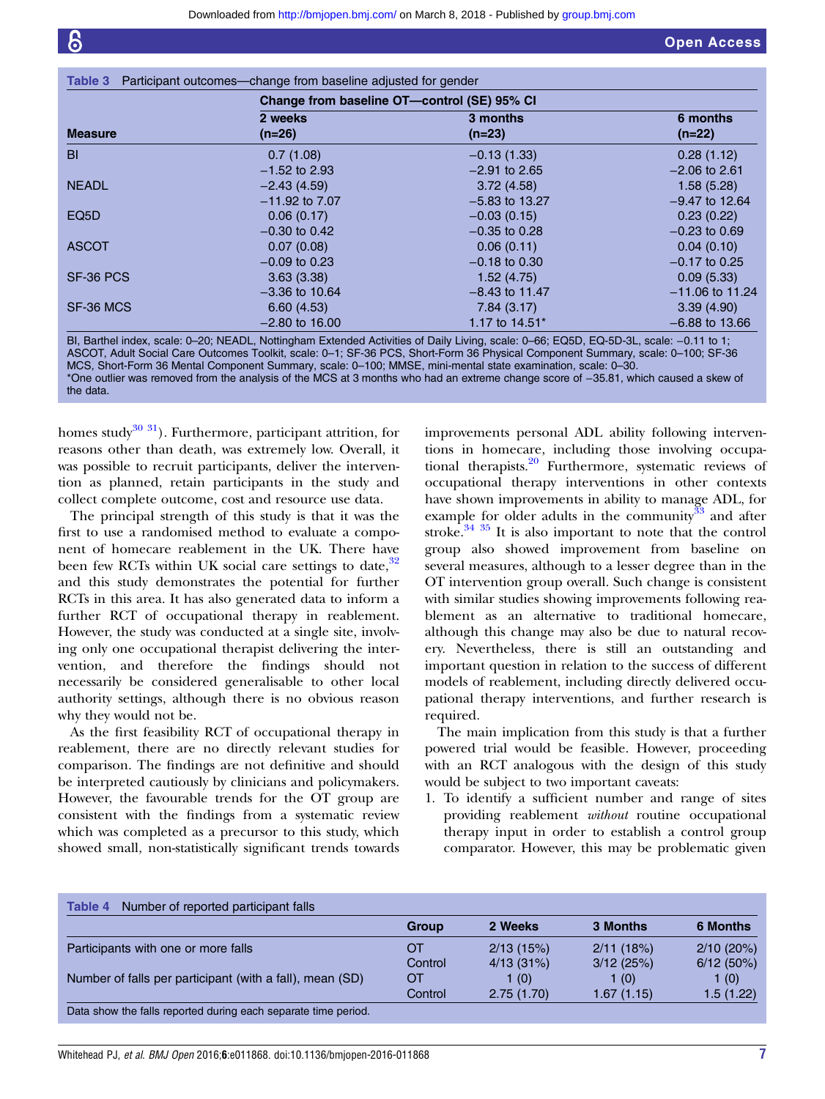<span id="page-6-0"></span>

|                   |                  | Change from baseline OT-control (SE) 95% CI |                   |  |  |
|-------------------|------------------|---------------------------------------------|-------------------|--|--|
| <b>Measure</b>    | 2 weeks          | 3 months                                    | 6 months          |  |  |
|                   | $(n=26)$         | $(n=23)$                                    | $(n=22)$          |  |  |
| <b>BI</b>         | 0.7(1.08)        | $-0.13(1.33)$                               | 0.28(1.12)        |  |  |
|                   | $-1.52$ to 2.93  | $-2.91$ to 2.65                             | $-2.06$ to 2.61   |  |  |
| <b>NEADL</b>      | $-2.43(4.59)$    | 3.72(4.58)                                  | 1.58(5.28)        |  |  |
|                   | $-11.92$ to 7.07 | $-5.83$ to 13.27                            | $-9.47$ to 12.64  |  |  |
| EQ <sub>5</sub> D | 0.06(0.17)       | $-0.03(0.15)$                               | 0.23(0.22)        |  |  |
|                   | $-0.30$ to 0.42  | $-0.35$ to 0.28                             | $-0.23$ to 0.69   |  |  |
| <b>ASCOT</b>      | 0.07(0.08)       | 0.06(0.11)                                  | 0.04(0.10)        |  |  |
|                   | $-0.09$ to 0.23  | $-0.18$ to 0.30                             | $-0.17$ to 0.25   |  |  |
| SF-36 PCS         | 3.63(3.38)       | 1.52(4.75)                                  | 0.09(5.33)        |  |  |
|                   | $-3.36$ to 10.64 | $-8.43$ to 11.47                            | $-11.06$ to 11.24 |  |  |
| SF-36 MCS         | 6.60(4.53)       | 7.84(3.17)                                  | 3.39(4.90)        |  |  |
|                   | $-2.80$ to 16.00 | 1.17 to 14.51 <sup>*</sup>                  | $-6.88$ to 13.66  |  |  |

BI, Barthel index, scale: 0–20; NEADL, Nottingham Extended Activities of Daily Living, scale: 0–66; EQ5D, EQ-5D-3L, scale: -0.11 to 1 ASCOT, Adult Social Care Outcomes Toolkit, scale: 0–1; SF-36 PCS, Short-Form 36 Physical Component Summary, scale: 0–100; SF-36 MCS, Short-Form 36 Mental Component Summary, scale: 0–100; MMSE, mini-mental state examination, scale: 0–30. \*One outlier was removed from the analysis of the MCS at 3 months who had an extreme change score of −35.81, which caused a skew of the data.

homes study<sup>30 31</sup>). Furthermore, participant attrition, for reasons other than death, was extremely low. Overall, it was possible to recruit participants, deliver the intervention as planned, retain participants in the study and collect complete outcome, cost and resource use data.

The principal strength of this study is that it was the first to use a randomised method to evaluate a component of homecare reablement in the UK. There have been few RCTs within UK social care settings to date,  $32$ and this study demonstrates the potential for further RCTs in this area. It has also generated data to inform a further RCT of occupational therapy in reablement. However, the study was conducted at a single site, involving only one occupational therapist delivering the intervention, and therefore the findings should not necessarily be considered generalisable to other local authority settings, although there is no obvious reason why they would not be.

As the first feasibility RCT of occupational therapy in reablement, there are no directly relevant studies for comparison. The findings are not definitive and should be interpreted cautiously by clinicians and policymakers. However, the favourable trends for the OT group are consistent with the findings from a systematic review which was completed as a precursor to this study, which showed small, non-statistically significant trends towards

improvements personal ADL ability following interventions in homecare, including those involving occupational therapists. $20$  Furthermore, systematic reviews of occupational therapy interventions in other contexts have shown improvements in ability to manage ADL, for example for older adults in the community  $\frac{33}{33}$  $\frac{33}{33}$  $\frac{33}{33}$  and after stroke. $34 \frac{35}{11}$  It is also important to note that the control group also showed improvement from baseline on several measures, although to a lesser degree than in the OT intervention group overall. Such change is consistent with similar studies showing improvements following reablement as an alternative to traditional homecare, although this change may also be due to natural recovery. Nevertheless, there is still an outstanding and important question in relation to the success of different models of reablement, including directly delivered occupational therapy interventions, and further research is required.

The main implication from this study is that a further powered trial would be feasible. However, proceeding with an RCT analogous with the design of this study would be subject to two important caveats:

1. To identify a sufficient number and range of sites providing reablement *without* routine occupational therapy input in order to establish a control group comparator. However, this may be problematic given

| Number of reported participant falls<br>Table 4                |         |            |            |                 |
|----------------------------------------------------------------|---------|------------|------------|-----------------|
|                                                                | Group   | 2 Weeks    | 3 Months   | <b>6 Months</b> |
| Participants with one or more falls                            | OТ      | 2/13(15%)  | 2/11(18%)  | 2/10(20%)       |
|                                                                | Control | 4/13(31%)  | 3/12(25%)  | 6/12(50%)       |
| Number of falls per participant (with a fall), mean (SD)       | OT      | 1(0)       | 1(0)       | 1(0)            |
|                                                                | Control | 2.75(1.70) | 1.67(1.15) | 1.5(1.22)       |
| Data show the falls reported during each separate time period. |         |            |            |                 |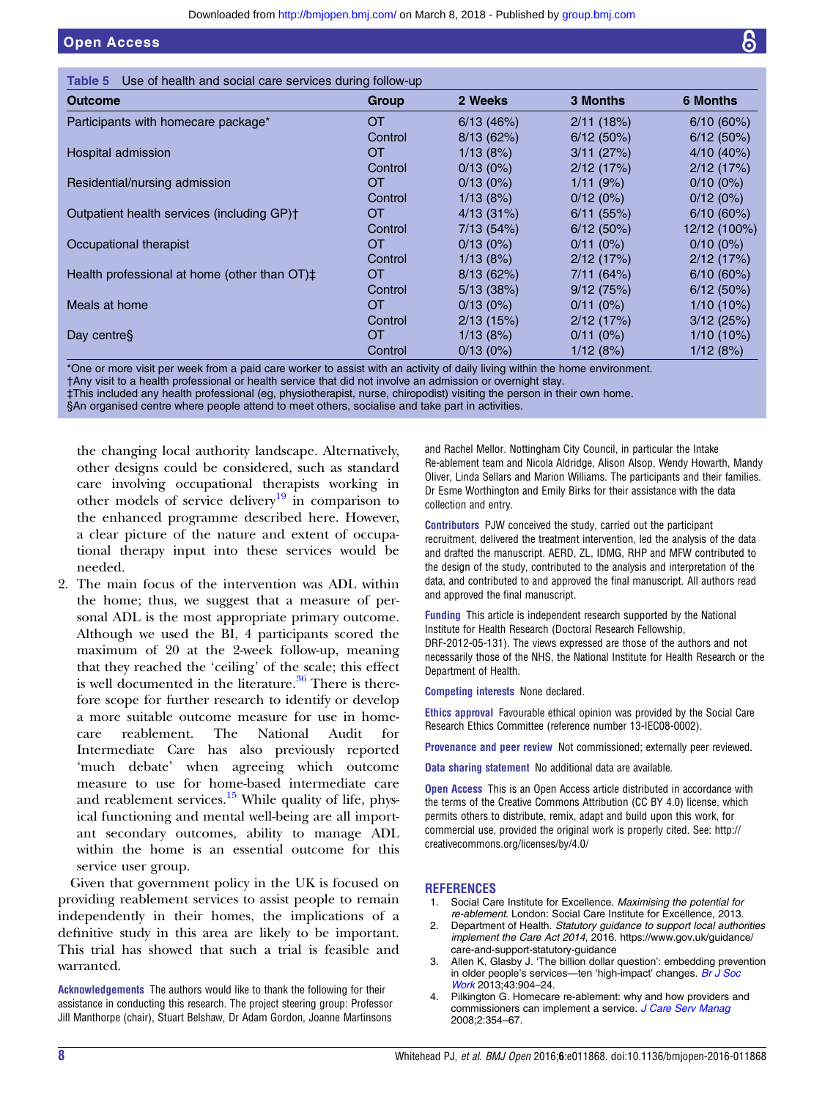<span id="page-7-0"></span>

| <b>Outcome</b>                                | Group   | 2 Weeks   | 3 Months  | <b>6 Months</b> |
|-----------------------------------------------|---------|-----------|-----------|-----------------|
| Participants with homecare package*           | ОT      | 6/13(46%) | 2/11(18%) | 6/10(60%)       |
|                                               | Control | 8/13(62%) | 6/12(50%) | 6/12(50%)       |
| Hospital admission                            | ОT      | 1/13(8%)  | 3/11(27%) | 4/10(40%)       |
|                                               | Control | 0/13(0%)  | 2/12(17%) | 2/12(17%)       |
| Residential/nursing admission                 | OT      | 0/13(0%)  | 1/11(9%)  | $0/10(0\%)$     |
|                                               | Control | 1/13(8%)  | 0/12(0%)  | 0/12(0%)        |
| Outpatient health services (including GP)+    | OT      | 4/13(31%) | 6/11(55%) | 6/10(60%)       |
|                                               | Control | 7/13(54%) | 6/12(50%) | 12/12 (100%)    |
| Occupational therapist                        | ОT      | 0/13(0%)  | 0/11(0%)  | $0/10(0\%)$     |
|                                               | Control | 1/13(8%)  | 2/12(17%) | 2/12(17%)       |
| Health professional at home (other than OT) ± | ОT      | 8/13(62%) | 7/11(64%) | 6/10(60%)       |
|                                               | Control | 5/13(38%) | 9/12(75%) | 6/12(50%)       |
| Meals at home                                 | ОT      | 0/13(0%)  | 0/11(0%)  | $1/10(10\%)$    |
|                                               | Control | 2/13(15%) | 2/12(17%) | 3/12(25%)       |
| Day centres                                   | ОT      | 1/13(8%)  | 0/11(0%)  | $1/10(10\%)$    |
|                                               | Control | 0/13(0%)  | 1/12(8%)  | 1/12(8%)        |

\*One or more visit per week from a paid care worker to assist with an activity of daily living within the home environment.

†Any visit to a health professional or health service that did not involve an admission or overnight stay.

‡This included any health professional (eg, physiotherapist, nurse, chiropodist) visiting the person in their own home.

§An organised centre where people attend to meet others, socialise and take part in activities.

the changing local authority landscape. Alternatively, other designs could be considered, such as standard care involving occupational therapists working in other models of service delivery<sup>[19](#page-8-0)</sup> in comparison to the enhanced programme described here. However, a clear picture of the nature and extent of occupational therapy input into these services would be needed.

2. The main focus of the intervention was ADL within the home; thus, we suggest that a measure of personal ADL is the most appropriate primary outcome. Although we used the BI, 4 participants scored the maximum of 20 at the 2-week follow-up, meaning that they reached the 'ceiling' of the scale; this effect is well documented in the literature.<sup>[36](#page-8-0)</sup> There is therefore scope for further research to identify or develop a more suitable outcome measure for use in homecare reablement. The National Audit for Intermediate Care has also previously reported 'much debate' when agreeing which outcome measure to use for home-based intermediate care and reablement services. $15$  While quality of life, physical functioning and mental well-being are all important secondary outcomes, ability to manage ADL within the home is an essential outcome for this service user group.

Given that government policy in the UK is focused on providing reablement services to assist people to remain independently in their homes, the implications of a definitive study in this area are likely to be important. This trial has showed that such a trial is feasible and warranted.

Acknowledgements The authors would like to thank the following for their assistance in conducting this research. The project steering group: Professor Jill Manthorpe (chair), Stuart Belshaw, Dr Adam Gordon, Joanne Martinsons

and Rachel Mellor. Nottingham City Council, in particular the Intake Re-ablement team and Nicola Aldridge, Alison Alsop, Wendy Howarth, Mandy Oliver, Linda Sellars and Marion Williams. The participants and their families. Dr Esme Worthington and Emily Birks for their assistance with the data collection and entry.

Contributors PJW conceived the study, carried out the participant recruitment, delivered the treatment intervention, led the analysis of the data and drafted the manuscript. AERD, ZL, IDMG, RHP and MFW contributed to the design of the study, contributed to the analysis and interpretation of the data, and contributed to and approved the final manuscript. All authors read and approved the final manuscript.

Funding This article is independent research supported by the National Institute for Health Research (Doctoral Research Fellowship, DRF-2012-05-131). The views expressed are those of the authors and not necessarily those of the NHS, the National Institute for Health Research or the Department of Health.

Competing interests None declared.

Ethics approval Favourable ethical opinion was provided by the Social Care Research Ethics Committee (reference number 13-IEC08-0002).

Provenance and peer review Not commissioned; externally peer reviewed.

Data sharing statement No additional data are available.

Open Access This is an Open Access article distributed in accordance with the terms of the Creative Commons Attribution (CC BY 4.0) license, which permits others to distribute, remix, adapt and build upon this work, for commercial use, provided the original work is properly cited. See: [http://](http://creativecommons.org/licenses/by/4.0/) [creativecommons.org/licenses/by/4.0/](http://creativecommons.org/licenses/by/4.0/)

#### **REFERENCES**

- 1. Social Care Institute for Excellence. Maximising the potential for re-ablement. London: Social Care Institute for Excellence, 2013.
- Department of Health. Statutory guidance to support local authorities implement the Care Act 2014, 2016. [https://www.gov.uk/guidance/](https://www.gov.uk/guidance/care-and-support-statutory-guidance) [care-and-support-statutory-guidance](https://www.gov.uk/guidance/care-and-support-statutory-guidance)
- 3. Allen K, Glasby J. 'The billion dollar question': embedding prevention in older people's services—ten 'high-impact' changes. [Br J Soc](http://dx.doi.org/10.1093/bjsw/bcs024) [Work](http://dx.doi.org/10.1093/bjsw/bcs024) 2013;43:904–24.
- 4. Pilkington G. Homecare re-ablement: why and how providers and commissioners can implement a service. [J Care Serv Manag](http://dx.doi.org/10.1179/csm.2008.2.4.354) 2008;2:354–67.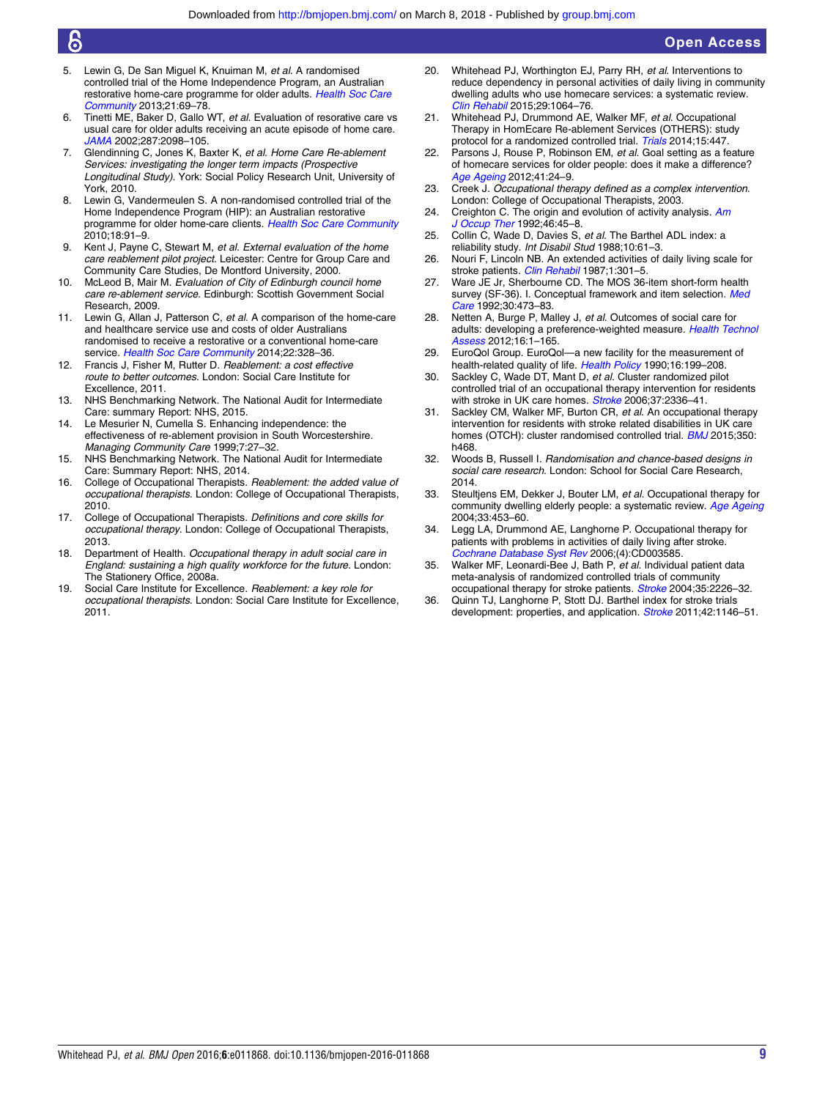- <span id="page-8-0"></span>
- 5. Lewin G, De San Miguel K, Knuiman M, et al. A randomised controlled trial of the Home Independence Program, an Australian restorative home-care programme for older adults. [Health Soc Care](http://dx.doi.org/10.1111/j.1365-2524.2012.01088.x) [Community](http://dx.doi.org/10.1111/j.1365-2524.2012.01088.x) 2013;21:69–78.
- 6. Tinetti ME, Baker D, Gallo WT, et al. Evaluation of resorative care vs usual care for older adults receiving an acute episode of home care. [JAMA](http://dx.doi.org/10.1001/jama.287.16.2098) 2002;287:2098–105.
- Glendinning C, Jones K, Baxter K, et al. Home Care Re-ablement Services: investigating the longer term impacts (Prospective Longitudinal Study). York: Social Policy Research Unit, University of York, 2010.
- 8. Lewin G, Vandermeulen S. A non-randomised controlled trial of the Home Independence Program (HIP): an Australian restorative programme for older home-care clients. [Health Soc Care Community](http://dx.doi.org/10.1111/j.1365-2524.2009.00878.x) 2010;18:91–9.
- 9. Kent J, Payne C, Stewart M, et al. External evaluation of the home care reablement pilot project. Leicester: Centre for Group Care and Community Care Studies, De Montford University, 2000.
- 10. McLeod B, Mair M. Evaluation of City of Edinburgh council home care re-ablement service. Edinburgh: Scottish Government Social Research, 2009.
- 11. Lewin G, Allan J, Patterson C, et al. A comparison of the home-care and healthcare service use and costs of older Australians randomised to receive a restorative or a conventional home‐care service. [Health Soc Care Community](http://dx.doi.org/10.1186/s12877-015-0142-9) 2014;22:328-36.
- 12. Francis J, Fisher M, Rutter D. Reablement: a cost effective route to better outcomes. London: Social Care Institute for Excellence, 2011.
- 13. NHS Benchmarking Network. The National Audit for Intermediate Care: summary Report: NHS, 2015.
- 14. Le Mesurier N, Cumella S. Enhancing independence: the effectiveness of re-ablement provision in South Worcestershire. Managing Community Care 1999;7:27–32.
- 15. NHS Benchmarking Network. The National Audit for Intermediate Care: Summary Report: NHS, 2014.
- 16. College of Occupational Therapists. Reablement: the added value of occupational therapists. London: College of Occupational Therapists, 2010.
- 17. College of Occupational Therapists. Definitions and core skills for occupational therapy. London: College of Occupational Therapists, 2013.
- 18. Department of Health. Occupational therapy in adult social care in England: sustaining a high quality workforce for the future. London: The Stationery Office, 2008a.
- 19. Social Care Institute for Excellence. Reablement: a key role for occupational therapists. London: Social Care Institute for Excellence, 2011.
- 20. Whitehead PJ, Worthington EJ, Parry RH, et al. Interventions to reduce dependency in personal activities of daily living in community dwelling adults who use homecare services: a systematic review. [Clin Rehabil](http://dx.doi.org/10.1177/0269215514564894) 2015;29:1064–76.
- 21. Whitehead PJ, Drummond AE, Walker MF, et al. Occupational Therapy in HomEcare Re-ablement Services (OTHERS): study protocol for a randomized controlled trial. [Trials](http://dx.doi.org/10.1186/1745-6215-15-447) 2014;15:447.
- Parsons J, Rouse P, Robinson EM, et al. Goal setting as a feature of homecare services for older people: does it make a difference? [Age Ageing](http://dx.doi.org/10.1093/ageing/afr118) 2012;41:24–9.
- 23. Creek J. Occupational therapy defined as a complex intervention. London: College of Occupational Therapists, 2003.
- 24. Creighton C. The origin and evolution of activity analysis. [Am](http://dx.doi.org/10.5014/ajot.46.1.45) [J Occup Ther](http://dx.doi.org/10.5014/ajot.46.1.45) 1992;46:45-8.
- 25. Collin C, Wade D, Davies S, et al. The Barthel ADL index: a reliability study. Int Disabil Stud 1988;10:61–3.
- 26. Nouri F, Lincoln NB. An extended activities of daily living scale for stroke patients. [Clin Rehabil](http://dx.doi.org/10.1177/026921558700100409) 1987;1:301-5.
- 27. Ware JE Jr, Sherbourne CD. The MOS 36-item short-form health survey (SF-36). I. Conceptual framework and item selection[. Med](http://dx.doi.org/10.1097/00005650-199206000-00002) [Care](http://dx.doi.org/10.1097/00005650-199206000-00002) 1992;30:473–83.
- Netten A, Burge P, Malley J, et al. Outcomes of social care for adults: developing a preference-weighted measure. [Health Technol](http://dx.doi.org/10.3310/hta16160) [Assess](http://dx.doi.org/10.3310/hta16160) 2012:16:1-165.
- 29. EuroQol Group. EuroQol—a new facility for the measurement of health-related quality of life. [Health Policy](http://dx.doi.org/10.1016/0168-8510(90)90421-9) 1990;16:199-208.
- 30. Sackley C, Wade DT, Mant D, et al. Cluster randomized pilot controlled trial of an occupational therapy intervention for residents with stroke in UK care homes. [Stroke](http://dx.doi.org/10.1161/01.STR.0000237124.20596.92) 2006:37:2336-41.
- 31. Sackley CM, Walker MF, Burton CR, et al. An occupational therapy intervention for residents with stroke related disabilities in UK care homes (OTCH): cluster randomised controlled trial. **[BMJ](http://dx.doi.org/10.1136/bmj.h468)** 2015;350: h468.
- 32. Woods B, Russell I, Randomisation and chance-based designs in social care research. London: School for Social Care Research, 2014.
- 33. Steultjens EM, Dekker J, Bouter LM, et al. Occupational therapy for community dwelling elderly people: a systematic review. [Age Ageing](http://dx.doi.org/10.1093/ageing/afh174) 2004;33:453–60.
- 34. Legg LA, Drummond AE, Langhorne P. Occupational therapy for patients with problems in activities of daily living after stroke. [Cochrane Database Syst Rev](http://dx.doi.org/10.1002/14651858.CD003585.pub2) 2006;(4):CD003585.
- 35. Walker MF, Leonardi-Bee J, Bath P, et al. Individual patient data meta-analysis of randomized controlled trials of community occupational therapy for stroke patients. [Stroke](http://dx.doi.org/10.1161/01.STR.0000137766.17092.fb) 2004;35:2226-32.
- 36. Quinn TJ, Langhorne P, Stott DJ. Barthel index for stroke trials development: properties, and application. [Stroke](http://dx.doi.org/10.1161/STROKEAHA.110.598540) 2011;42:1146-51.